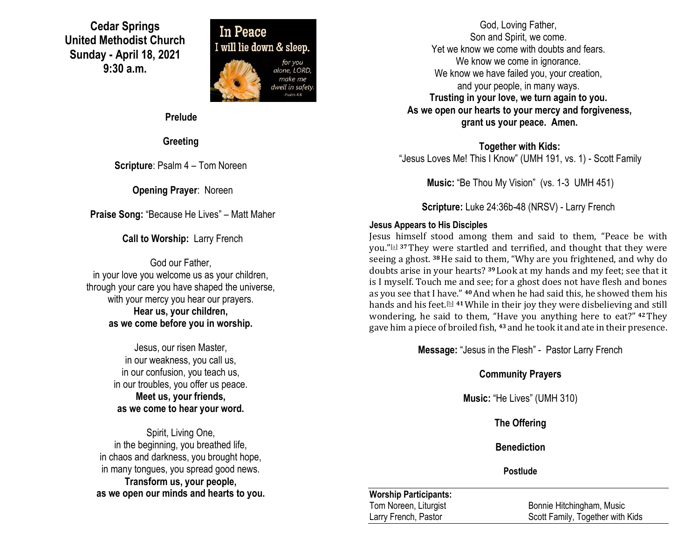**Cedar Springs United Methodist Church Sunday - April 18, 2021 9:30 a.m.**



**Prelude**

**Greeting**

**Scripture**: Psalm 4 – Tom Noreen

**Opening Prayer**: Noreen

**Praise Song:** "Because He Lives" – Matt Maher

**Call to Worship:** Larry French

God our Father, in your love you welcome us as your children, through your care you have shaped the universe, with your mercy you hear our prayers. **Hear us, your children, as we come before you in worship.**

> Jesus, our risen Master, in our weakness, you call us, in our confusion, you teach us, in our troubles, you offer us peace. **Meet us, your friends, as we come to hear your word.**

Spirit, Living One, in the beginning, you breathed life, in chaos and darkness, you brought hope, in many tongues, you spread good news. **Transform us, your people, as we open our minds and hearts to you.**

God, Loving Father, Son and Spirit, we come. Yet we know we come with doubts and fears. We know we come in ignorance. We know we have failed you, your creation, and your people, in many ways. **Trusting in your love, we turn again to you. As we open our hearts to your mercy and forgiveness, grant us your peace. Amen.**

**Together with Kids:** "Jesus Loves Me! This I Know" (UMH 191, vs. 1) - Scott Family

**Music:** "Be Thou My Vision" (vs. 1-3 UMH 451)

**Scripture:** Luke 24:36b-48 (NRSV) - Larry French

### **Jesus Appears to His Disciples**

Jesus himself stood among them and said to them, "Peace be with you."[\[a\]](https://www.biblegateway.com/passage/?search=Luke+24%3A36-43&version=NRSV#fen-NRSV-26018a) **<sup>37</sup>**They were startled and terrified, and thought that they were seeing a ghost. **<sup>38</sup>**He said to them, "Why are you frightened, and why do doubts arise in your hearts? **<sup>39</sup>** Look at my hands and my feet; see that it is I myself. Touch me and see; for a ghost does not have flesh and bones as you see that I have." **<sup>40</sup>**And when he had said this, he showed them his hands and his feet.[\[b\]](https://www.biblegateway.com/passage/?search=Luke+24%3A36-43&version=NRSV#fen-NRSV-26022b) **<sup>41</sup>**While in their joy they were disbelieving and still wondering, he said to them, "Have you anything here to eat?" **<sup>42</sup>**They gave him a piece of broiled fish, **<sup>43</sup>** and he took it and ate in their presence.

**Message:** "Jesus in the Flesh" - Pastor Larry French

### **Community Prayers**

**Music:** "He Lives" (UMH 310)

**The Offering**

**Benediction**

**Postlude**

### **Worship Participants:**

Tom Noreen, Liturgist **Bonnie Hitchingham, Music** Larry French, Pastor **Scott Family, Together with Kids**